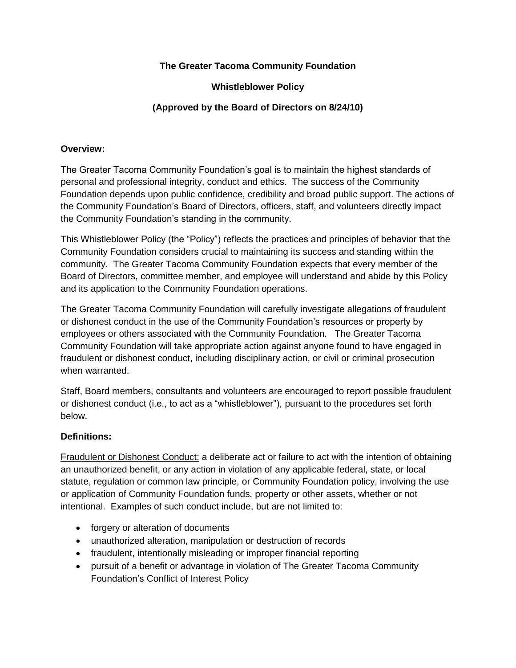# **The Greater Tacoma Community Foundation**

## **Whistleblower Policy**

# **(Approved by the Board of Directors on 8/24/10)**

#### **Overview:**

The Greater Tacoma Community Foundation's goal is to maintain the highest standards of personal and professional integrity, conduct and ethics. The success of the Community Foundation depends upon public confidence, credibility and broad public support. The actions of the Community Foundation's Board of Directors, officers, staff, and volunteers directly impact the Community Foundation's standing in the community.

This Whistleblower Policy (the "Policy") reflects the practices and principles of behavior that the Community Foundation considers crucial to maintaining its success and standing within the community. The Greater Tacoma Community Foundation expects that every member of the Board of Directors, committee member, and employee will understand and abide by this Policy and its application to the Community Foundation operations.

The Greater Tacoma Community Foundation will carefully investigate allegations of fraudulent or dishonest conduct in the use of the Community Foundation's resources or property by employees or others associated with the Community Foundation. The Greater Tacoma Community Foundation will take appropriate action against anyone found to have engaged in fraudulent or dishonest conduct, including disciplinary action, or civil or criminal prosecution when warranted.

Staff, Board members, consultants and volunteers are encouraged to report possible fraudulent or dishonest conduct (i.e., to act as a "whistleblower"), pursuant to the procedures set forth below.

# **Definitions:**

Fraudulent or Dishonest Conduct: a deliberate act or failure to act with the intention of obtaining an unauthorized benefit, or any action in violation of any applicable federal, state, or local statute, regulation or common law principle, or Community Foundation policy, involving the use or application of Community Foundation funds, property or other assets, whether or not intentional. Examples of such conduct include, but are not limited to:

- forgery or alteration of documents
- unauthorized alteration, manipulation or destruction of records
- fraudulent, intentionally misleading or improper financial reporting
- pursuit of a benefit or advantage in violation of The Greater Tacoma Community Foundation's Conflict of Interest Policy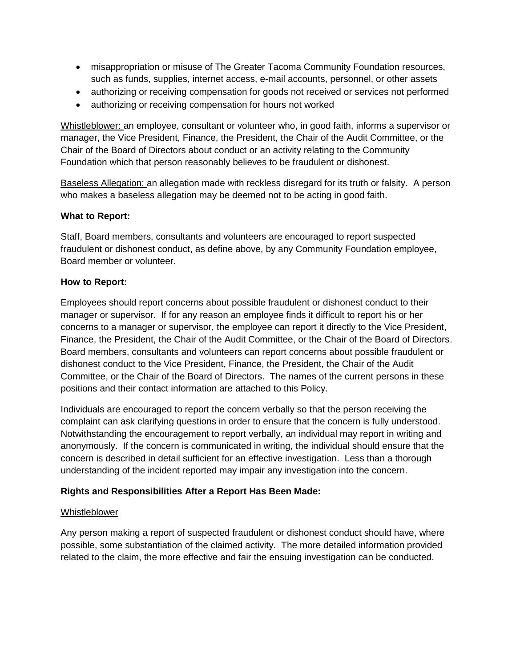- misappropriation or misuse of The Greater Tacoma Community Foundation resources, such as funds, supplies, internet access, e-mail accounts, personnel, or other assets
- authorizing or receiving compensation for goods not received or services not performed
- authorizing or receiving compensation for hours not worked

Whistleblower: an employee, consultant or volunteer who, in good faith, informs a supervisor or manager, the Vice President, Finance, the President, the Chair of the Audit Committee, or the Chair of the Board of Directors about conduct or an activity relating to the Community Foundation which that person reasonably believes to be fraudulent or dishonest.

Baseless Allegation: an allegation made with reckless disregard for its truth or falsity. A person who makes a baseless allegation may be deemed not to be acting in good faith.

## **What to Report:**

Staff, Board members, consultants and volunteers are encouraged to report suspected fraudulent or dishonest conduct, as define above, by any Community Foundation employee, Board member or volunteer.

## **How to Report:**

Employees should report concerns about possible fraudulent or dishonest conduct to their manager or supervisor. If for any reason an employee finds it difficult to report his or her concerns to a manager or supervisor, the employee can report it directly to the Vice President, Finance, the President, the Chair of the Audit Committee, or the Chair of the Board of Directors. Board members, consultants and volunteers can report concerns about possible fraudulent or dishonest conduct to the Vice President, Finance, the President, the Chair of the Audit Committee, or the Chair of the Board of Directors. The names of the current persons in these positions and their contact information are attached to this Policy.

Individuals are encouraged to report the concern verbally so that the person receiving the complaint can ask clarifying questions in order to ensure that the concern is fully understood. Notwithstanding the encouragement to report verbally, an individual may report in writing and anonymously. If the concern is communicated in writing, the individual should ensure that the concern is described in detail sufficient for an effective investigation. Less than a thorough understanding of the incident reported may impair any investigation into the concern.

# **Rights and Responsibilities After a Report Has Been Made:**

#### Whistleblower

Any person making a report of suspected fraudulent or dishonest conduct should have, where possible, some substantiation of the claimed activity. The more detailed information provided related to the claim, the more effective and fair the ensuing investigation can be conducted.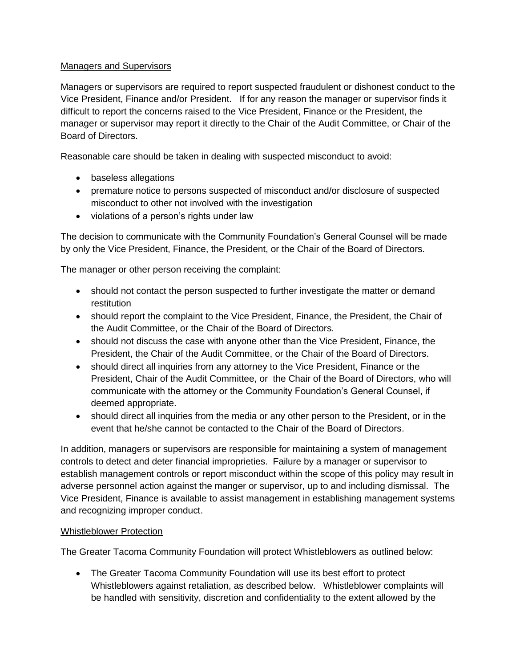## Managers and Supervisors

Managers or supervisors are required to report suspected fraudulent or dishonest conduct to the Vice President, Finance and/or President. If for any reason the manager or supervisor finds it difficult to report the concerns raised to the Vice President, Finance or the President, the manager or supervisor may report it directly to the Chair of the Audit Committee, or Chair of the Board of Directors.

Reasonable care should be taken in dealing with suspected misconduct to avoid:

- baseless allegations
- premature notice to persons suspected of misconduct and/or disclosure of suspected misconduct to other not involved with the investigation
- violations of a person's rights under law

The decision to communicate with the Community Foundation's General Counsel will be made by only the Vice President, Finance, the President, or the Chair of the Board of Directors.

The manager or other person receiving the complaint:

- should not contact the person suspected to further investigate the matter or demand restitution
- should report the complaint to the Vice President, Finance, the President, the Chair of the Audit Committee, or the Chair of the Board of Directors.
- should not discuss the case with anyone other than the Vice President, Finance, the President, the Chair of the Audit Committee, or the Chair of the Board of Directors.
- should direct all inquiries from any attorney to the Vice President, Finance or the President, Chair of the Audit Committee, or the Chair of the Board of Directors, who will communicate with the attorney or the Community Foundation's General Counsel, if deemed appropriate.
- should direct all inquiries from the media or any other person to the President, or in the event that he/she cannot be contacted to the Chair of the Board of Directors.

In addition, managers or supervisors are responsible for maintaining a system of management controls to detect and deter financial improprieties. Failure by a manager or supervisor to establish management controls or report misconduct within the scope of this policy may result in adverse personnel action against the manger or supervisor, up to and including dismissal. The Vice President, Finance is available to assist management in establishing management systems and recognizing improper conduct.

#### Whistleblower Protection

The Greater Tacoma Community Foundation will protect Whistleblowers as outlined below:

 The Greater Tacoma Community Foundation will use its best effort to protect Whistleblowers against retaliation, as described below. Whistleblower complaints will be handled with sensitivity, discretion and confidentiality to the extent allowed by the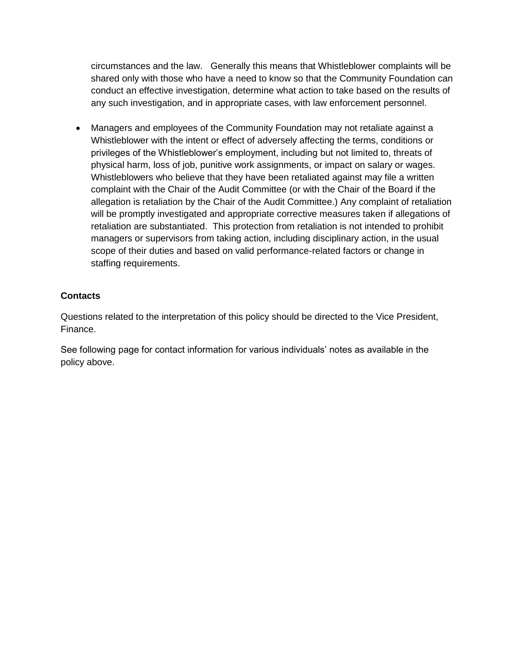circumstances and the law. Generally this means that Whistleblower complaints will be shared only with those who have a need to know so that the Community Foundation can conduct an effective investigation, determine what action to take based on the results of any such investigation, and in appropriate cases, with law enforcement personnel.

 Managers and employees of the Community Foundation may not retaliate against a Whistleblower with the intent or effect of adversely affecting the terms, conditions or privileges of the Whistleblower's employment, including but not limited to, threats of physical harm, loss of job, punitive work assignments, or impact on salary or wages. Whistleblowers who believe that they have been retaliated against may file a written complaint with the Chair of the Audit Committee (or with the Chair of the Board if the allegation is retaliation by the Chair of the Audit Committee.) Any complaint of retaliation will be promptly investigated and appropriate corrective measures taken if allegations of retaliation are substantiated. This protection from retaliation is not intended to prohibit managers or supervisors from taking action, including disciplinary action, in the usual scope of their duties and based on valid performance-related factors or change in staffing requirements.

## **Contacts**

Questions related to the interpretation of this policy should be directed to the Vice President, Finance.

See following page for contact information for various individuals' notes as available in the policy above.